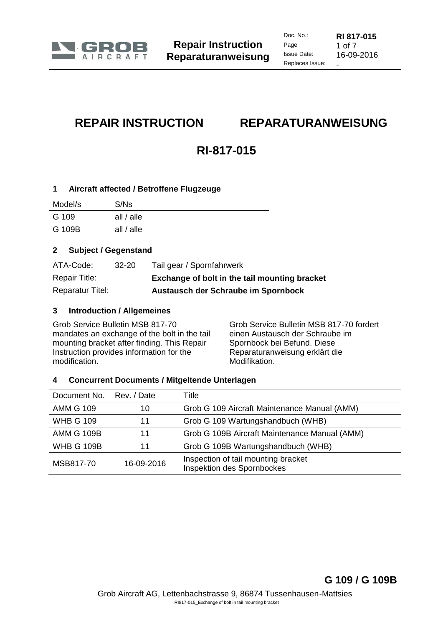

# **REPAIR INSTRUCTION REPARATURANWEISUNG**

# **RI-817-015**

# **1 Aircraft affected / Betroffene Flugzeuge**

| Model/s | S/Ns         |
|---------|--------------|
| G 109   | all $/$ alle |
| G 109B  | all $/$ alle |

# **2 Subject / Gegenstand**

| ATA-Code:               | $32 - 20$ | Tail gear / Spornfahrwerk                     |
|-------------------------|-----------|-----------------------------------------------|
| Repair Title:           |           | Exchange of bolt in the tail mounting bracket |
| <b>Reparatur Titel:</b> |           | Austausch der Schraube im Spornbock           |

# **3 Introduction / Allgemeines**

Grob Service Bulletin MSB 817-70 mandates an exchange of the bolt in the tail mounting bracket after finding. This Repair Instruction provides information for the modification.

Grob Service Bulletin MSB 817-70 fordert einen Austausch der Schraube im Spornbock bei Befund. Diese Reparaturanweisung erklärt die Modifikation.

### **4 Concurrent Documents / Mitgeltende Unterlagen**

| Document No. Rev. / Date |            | Title                                                             |
|--------------------------|------------|-------------------------------------------------------------------|
| <b>AMM G 109</b>         | 10         | Grob G 109 Aircraft Maintenance Manual (AMM)                      |
| <b>WHB G 109</b>         | 11         | Grob G 109 Wartungshandbuch (WHB)                                 |
| <b>AMM G 109B</b>        | 11         | Grob G 109B Aircraft Maintenance Manual (AMM)                     |
| <b>WHB G 109B</b>        | 11         | Grob G 109B Wartungshandbuch (WHB)                                |
| MSB817-70                | 16-09-2016 | Inspection of tail mounting bracket<br>Inspektion des Spornbockes |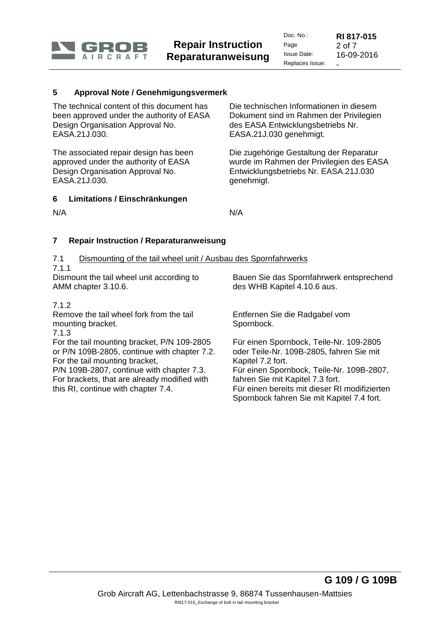

#### **5 Approval Note / Genehmigungsvermerk**

The technical content of this document has been approved under the authority of EASA Design Organisation Approval No. EASA.21J.030.

The associated repair design has been approved under the authority of EASA Design Organisation Approval No. EASA.21J.030.

#### **6 Limitations / Einschränkungen**

Die technischen Informationen in diesem Dokument sind im Rahmen der Privilegien des EASA Entwicklungsbetriebs Nr. EASA.21J.030 genehmigt.

Die zugehörige Gestaltung der Reparatur wurde im Rahmen der Privilegien des EASA Entwicklungsbetriebs Nr. EASA.21J.030 genehmigt.

N/A N/A

### **7 Repair Instruction / Reparaturanweisung**

- 7.1 Dismounting of the tail wheel unit / Ausbau des Spornfahrwerks
- 7.1.1

Dismount the tail wheel unit according to AMM chapter 3.10.6.

Bauen Sie das Spornfahrwerk entsprechend des WHB Kapitel 4.10.6 aus.

#### 7.1.2

Remove the tail wheel fork from the tail mounting bracket.

7.1.3

For the tail mounting bracket, P/N 109-2805 or P/N 109B-2805, continue with chapter [7.2.](#page-1-0) For the tail mounting bracket,

<span id="page-1-0"></span>P/N 109B-2807, continue with chapter [7.3.](#page-3-0) For brackets, that are already modified with this RI, continue with chapter [7.4.](#page-4-0)

Entfernen Sie die Radgabel vom Spornbock.

Für einen Spornbock, Teile-Nr. 109-2805 oder Teile-Nr. 109B-2805, fahren Sie mit Kapitel [7.2](#page-1-0) fort. Für einen Spornbock, Teile-Nr. 109B-2807, fahren Sie mit Kapitel [7.3](#page-3-0) fort. Für einen bereits mit dieser RI modifizierten Spornbock fahren Sie mit Kapitel [7.4](#page-4-0) fort.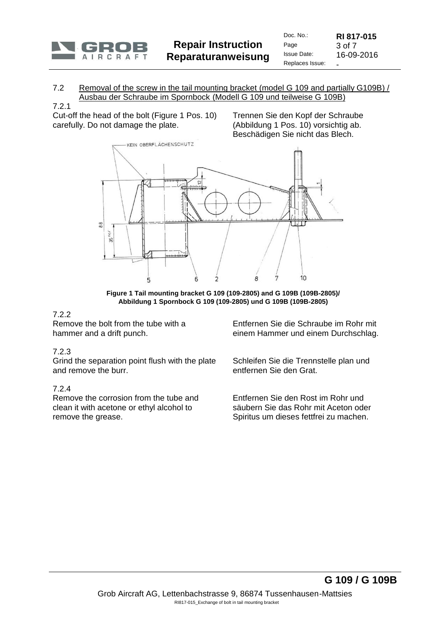

#### 7.2 Removal of the screw in the tail mounting bracket (model G 109 and partially G109B) / Ausbau der Schraube im Spornbock (Modell G 109 und teilweise G 109B)

#### 7.2.1

Cut-off the head of the bolt (Figure 1 Pos. 10) carefully. Do not damage the plate.

Trennen Sie den Kopf der Schraube (Abbildung 1 Pos. 10) vorsichtig ab. Beschädigen Sie nicht das Blech.



**Figure 1 Tail mounting bracket G 109 (109-2805) and G 109B (109B-2805)/ Abbildung 1 Spornbock G 109 (109-2805) und G 109B (109B-2805)**

### 7.2.2

Remove the bolt from the tube with a hammer and a drift punch.

### 7.2.3

Grind the separation point flush with the plate and remove the burr.

#### 7.2.4

Remove the corrosion from the tube and clean it with acetone or ethyl alcohol to remove the grease.

Entfernen Sie die Schraube im Rohr mit einem Hammer und einem Durchschlag.

Schleifen Sie die Trennstelle plan und entfernen Sie den Grat.

Entfernen Sie den Rost im Rohr und säubern Sie das Rohr mit Aceton oder Spiritus um dieses fettfrei zu machen.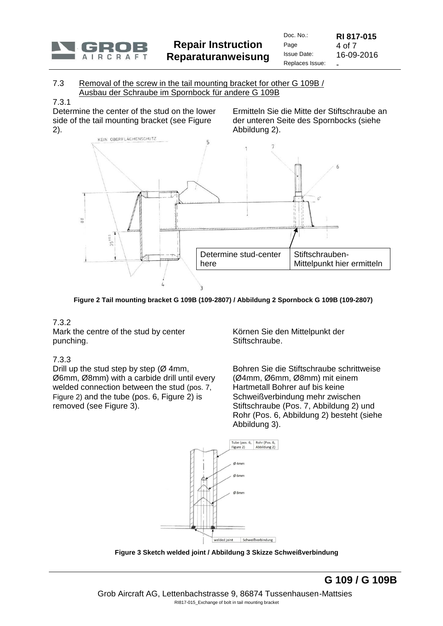

#### <span id="page-3-0"></span>7.3 Removal of the screw in the tail mounting bracket for other G 109B / Ausbau der Schraube im Spornbock für andere G 109B

#### 7.3.1

Determine the center of the stud on the lower side of the tail mounting bracket (see Figure 2).

Ermitteln Sie die Mitte der Stiftschraube an der unteren Seite des Spornbocks (siehe Abbildung 2).



**Figure 2 Tail mounting bracket G 109B (109-2807) / Abbildung 2 Spornbock G 109B (109-2807)**

# 7.3.2

Mark the centre of the stud by center punching.

# 7.3.3

Drill up the stud step by step ( $\varnothing$  4mm, Ø6mm, Ø8mm) with a carbide drill until every welded connection between the stud (pos. 7, Figure 2) and the tube (pos. 6, Figure 2) is removed (see Figure 3).

Körnen Sie den Mittelpunkt der Stiftschraube.

Bohren Sie die Stiftschraube schrittweise (Ø4mm, Ø6mm, Ø8mm) mit einem Hartmetall Bohrer auf bis keine Schweißverbindung mehr zwischen Stiftschraube (Pos. 7, Abbildung 2) und Rohr (Pos. 6, Abbildung 2) besteht (siehe Abbildung 3).



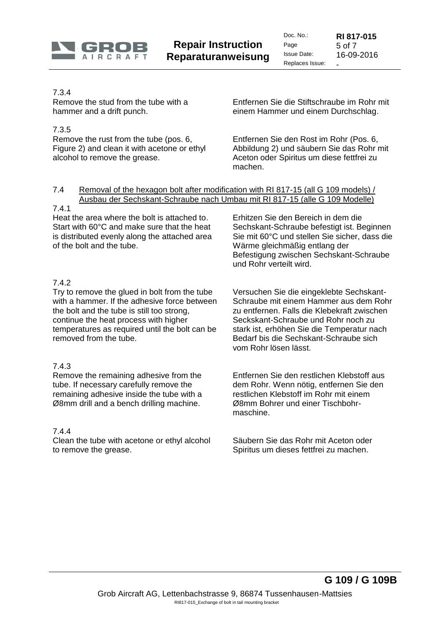

Doc. No.: **RI 817-015** Page 5 of 7<br>Issue Date: 16-09 16-09-2016 Replaces Issue:

# 7.3.4

Remove the stud from the tube with a hammer and a drift punch.

# 7.3.5

Remove the rust from the tube (pos. 6, Figure 2) and clean it with acetone or ethyl alcohol to remove the grease.

Entfernen Sie die Stiftschraube im Rohr mit einem Hammer und einem Durchschlag.

Entfernen Sie den Rost im Rohr (Pos. 6, Abbildung 2) und säubern Sie das Rohr mit Aceton oder Spiritus um diese fettfrei zu machen.

#### <span id="page-4-0"></span>7.4 Removal of the hexagon bolt after modification with RI 817-15 (all G 109 models) / Ausbau der Sechskant-Schraube nach Umbau mit RI 817-15 (alle G 109 Modelle)

### 7.4.1

Heat the area where the bolt is attached to. Start with 60°C and make sure that the heat is distributed evenly along the attached area of the bolt and the tube.

Erhitzen Sie den Bereich in dem die Sechskant-Schraube befestigt ist. Beginnen Sie mit 60°C und stellen Sie sicher, dass die Wärme gleichmäßig entlang der Befestigung zwischen Sechskant-Schraube und Rohr verteilt wird.

# 7.4.2

Try to remove the glued in bolt from the tube with a hammer. If the adhesive force between the bolt and the tube is still too strong, continue the heat process with higher temperatures as required until the bolt can be removed from the tube.

# 7.4.3

Remove the remaining adhesive from the tube. If necessary carefully remove the remaining adhesive inside the tube with a Ø8mm drill and a bench drilling machine.

# 7.4.4

Clean the tube with acetone or ethyl alcohol to remove the grease.

Versuchen Sie die eingeklebte Sechskant-Schraube mit einem Hammer aus dem Rohr zu entfernen. Falls die Klebekraft zwischen Seckskant-Schraube und Rohr noch zu stark ist, erhöhen Sie die Temperatur nach Bedarf bis die Sechskant-Schraube sich vom Rohr lösen lässt.

Entfernen Sie den restlichen Klebstoff aus dem Rohr. Wenn nötig, entfernen Sie den restlichen Klebstoff im Rohr mit einem Ø8mm Bohrer und einer Tischbohrmaschine.

Säubern Sie das Rohr mit Aceton oder Spiritus um dieses fettfrei zu machen.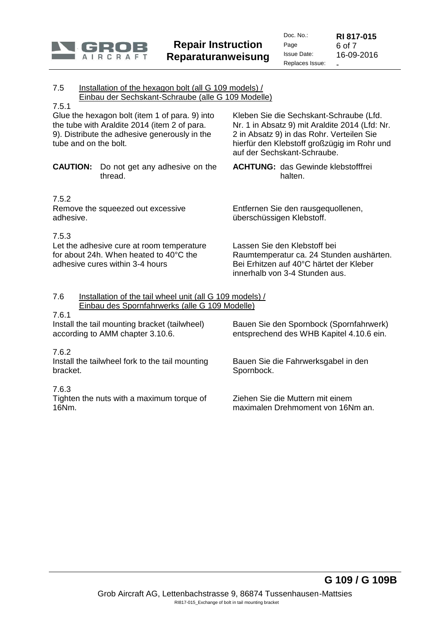

7.5 Installation of the hexagon bolt (all G 109 models) / Einbau der Sechskant-Schraube (alle G 109 Modelle) 7.5.1 Glue the hexagon bolt (item 1 of para. 9) into the tube with Araldite 2014 (item 2 of para. 9). Distribute the adhesive generously in the tube and on the bolt. Kleben Sie die Sechskant-Schraube (Lfd. Nr. 1 in Absatz 9) mit Araldite 2014 (Lfd: Nr. 2 in Absatz 9) in das Rohr. Verteilen Sie hierfür den Klebstoff großzügig im Rohr und auf der Sechskant-Schraube. **CAUTION:** Do not get any adhesive on the thread. **ACHTUNG:** das Gewinde klebstofffrei halten. 7.5.2 Remove the squeezed out excessive adhesive. Entfernen Sie den rausgequollenen, überschüssigen Klebstoff. 7.5.3 Let the adhesive cure at room temperature for about 24h. When heated to 40°C the adhesive cures within 3-4 hours Lassen Sie den Klebstoff bei Raumtemperatur ca. 24 Stunden aushärten. Bei Erhitzen auf 40°C härtet der Kleber innerhalb von 3-4 Stunden aus. 7.6 Installation of the tail wheel unit (all G 109 models) / Einbau des Spornfahrwerks (alle G 109 Modelle) 7.6.1 Install the tail mounting bracket (tailwheel) according to AMM chapter 3.10.6. 7.6.2 Bauen Sie den Spornbock (Spornfahrwerk) entsprechend des WHB Kapitel 4.10.6 ein. Install the tailwheel fork to the tail mounting bracket. Bauen Sie die Fahrwerksgabel in den Spornbock.

7.6.3

Tighten the nuts with a maximum torque of 16Nm.

Ziehen Sie die Muttern mit einem maximalen Drehmoment von 16Nm an.